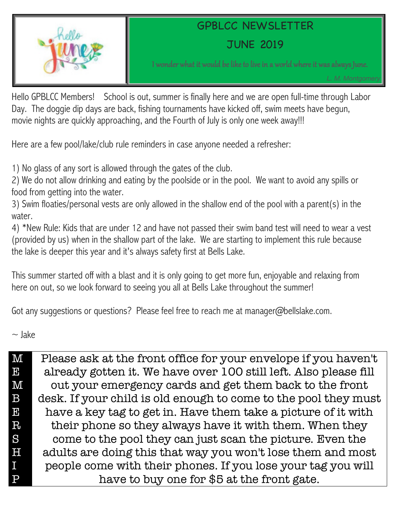

## GPBLCC NEWSLETTER

JUNE 2019

I wonder what it would be like to live in a world where it was always June.

Hello GPBLCC Members! School is out, summer is finally here and we are open full-time through Labor Day. The doggie dip days are back, fishing tournaments have kicked off, swim meets have begun, movie nights are quickly approaching, and the Fourth of July is only one week away!!!

Here are a few pool/lake/club rule reminders in case anyone needed a refresher:

1) No glass of any sort is allowed through the gates of the club.

2) We do not allow drinking and eating by the poolside or in the pool. We want to avoid any spills or food from getting into the water.

3) Swim floaties/personal vests are only allowed in the shallow end of the pool with a parent(s) in the water.

4) \*New Rule: Kids that are under 12 and have not passed their swim band test will need to wear a vest (provided by us) when in the shallow part of the lake. We are starting to implement this rule because the lake is deeper this year and it's always safety first at Bells Lake.

This summer started off with a blast and it is only going to get more fun, enjoyable and relaxing from here on out, so we look forward to seeing you all at Bells Lake throughout the summer!

Got any suggestions or questions? Please feel free to reach me at manager@bellslake.com.

 $\sim$  lake

| $\mathbf{M}$                                                                     | Please ask at the front office for your envelope if you haven't  |
|----------------------------------------------------------------------------------|------------------------------------------------------------------|
| $\mathbf{E}% _{0}\left( t\right)$                                                | already gotten it. We have over 100 still left. Also please fill |
| $\mathbf{M}$                                                                     | out your emergency cards and get them back to the front          |
| $\boldsymbol{B}$                                                                 | desk. If your child is old enough to come to the pool they must  |
| $\mathbf{E}% _{t}\left  \mathbf{1}\right\rangle =\left  \mathbf{1}\right\rangle$ | have a key tag to get in. Have them take a picture of it with    |
| $R_{0}$                                                                          | their phone so they always have it with them. When they          |
| S                                                                                | come to the pool they can just scan the picture. Even the        |
| H                                                                                | adults are doing this that way you won't lose them and most      |
| $I_{-}$                                                                          | people come with their phones. If you lose your tag you will     |
| $\rm P$                                                                          | have to buy one for \$5 at the front gate.                       |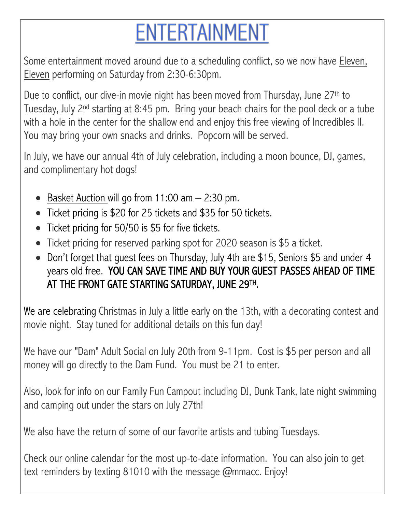## **ENTERTAINMENT**

Some entertainment moved around due to a scheduling conflict, so we now have Eleven, Eleven performing on Saturday from 2:30-6:30pm.

Due to conflict, our dive-in movie night has been moved from Thursday, June 27th to Tuesday, July 2<sup>nd</sup> starting at 8:45 pm. Bring your beach chairs for the pool deck or a tube with a hole in the center for the shallow end and enjoy this free viewing of Incredibles II. You may bring your own snacks and drinks. Popcorn will be served.

In July, we have our annual 4th of July celebration, including a moon bounce, DJ, games, and complimentary hot dogs!

- Basket Auction will go from 11:00 am  $-$  2:30 pm.
- Ticket pricing is \$20 for 25 tickets and \$35 for 50 tickets.
- Ticket pricing for 50/50 is \$5 for five tickets.
- Ticket pricing for reserved parking spot for 2020 season is \$5 a ticket.
- Don't forget that guest fees on Thursday, July 4th are \$15, Seniors \$5 and under 4 years old free. YOU CAN SAVE TIME AND BUY YOUR GUEST PASSES AHEAD OF TIME AT THE FRONT GATE STARTING SATURDAY, JUNE 29TH .

We are celebrating Christmas in July a little early on the 13th, with a decorating contest and movie night. Stay tuned for additional details on this fun day!

We have our "Dam" Adult Social on July 20th from 9-11pm. Cost is \$5 per person and all money will go directly to the Dam Fund. You must be 21 to enter.

Also, look for info on our Family Fun Campout including DJ, Dunk Tank, late night swimming and camping out under the stars on July 27th!

We also have the return of some of our favorite artists and tubing Tuesdays.

Check our online calendar for the most up-to-date information. You can also join to get text reminders by texting 81010 with the message @mmacc. Enjoy!